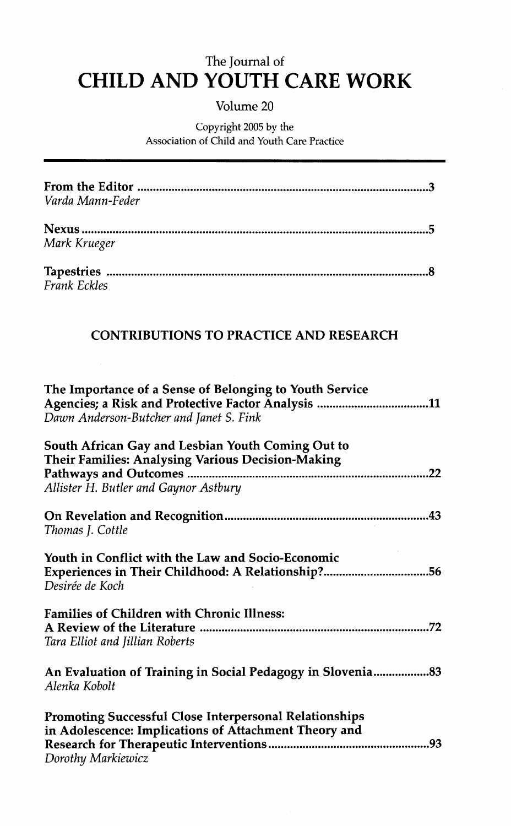## The Journal of **CHILD AND YOUTH CARE WORK**

## Volume 20

## Copyright 2005 by the Association of Child and Youth Care Practice

| Varda Mann-Feder                                                                                                                                |
|-------------------------------------------------------------------------------------------------------------------------------------------------|
| Mark Krueger                                                                                                                                    |
| <b>Frank Eckles</b>                                                                                                                             |
| <b>CONTRIBUTIONS TO PRACTICE AND RESEARCH</b>                                                                                                   |
| The Importance of a Sense of Belonging to Youth Service<br>Dawn Anderson-Butcher and Janet S. Fink                                              |
| South African Gay and Lesbian Youth Coming Out to<br>Their Families: Analysing Various Decision-Making<br>Allister H. Butler and Gaynor Astbury |
| Thomas J. Cottle                                                                                                                                |
| Youth in Conflict with the Law and Socio-Economic<br>Experiences in Their Childhood: A Relationship?56<br>Desirée de Koch                       |
| <b>Families of Children with Chronic Illness:</b><br>Tara Elliot and Jillian Roberts                                                            |
| An Evaluation of Training in Social Pedagogy in Slovenia83<br>Alenka Kobolt                                                                     |
| Promoting Successful Close Interpersonal Relationships<br>in Adolescence: Implications of Attachment Theory and<br>Dorothy Markiewicz           |